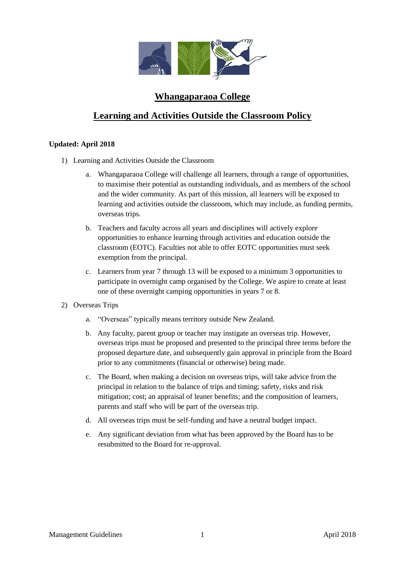

## **Whangaparaoa College**

## **Learning and Activities Outside the Classroom Policy**

## **Updated: April 2018**

- 1) Learning and Activities Outside the Classroom
	- a. Whangaparaoa College will challenge all learners, through a range of opportunities, to maximise their potential as outstanding individuals, and as members of the school and the wider community. As part of this mission, all learners will be exposed to learning and activities outside the classroom, which may include, as funding permits, overseas trips.
	- b. Teachers and faculty across all years and disciplines will actively explore opportunities to enhance learning through activities and education outside the classroom (EOTC). Faculties not able to offer EOTC opportunities must seek exemption from the principal.
	- c. Learners from year 7 through 13 will be exposed to a minimum 3 opportunities to participate in overnight camp organised by the College. We aspire to create at least one of these overnight camping opportunities in years 7 or 8.
- 2) Overseas Trips
	- a. "Overseas" typically means territory outside New Zealand.
	- b. Any faculty, parent group or teacher may instigate an overseas trip. However, overseas trips must be proposed and presented to the principal three terms before the proposed departure date, and subsequently gain approval in principle from the Board prior to any commitments (financial or otherwise) being made.
	- c. The Board, when making a decision on overseas trips, will take advice from the principal in relation to the balance of trips and timing; safety, risks and risk mitigation; cost; an appraisal of leaner benefits; and the composition of learners, parents and staff who will be part of the overseas trip.
	- d. All overseas trips must be self-funding and have a neutral budget impact.
	- e. Any significant deviation from what has been approved by the Board has to be resubmitted to the Board for re-approval.